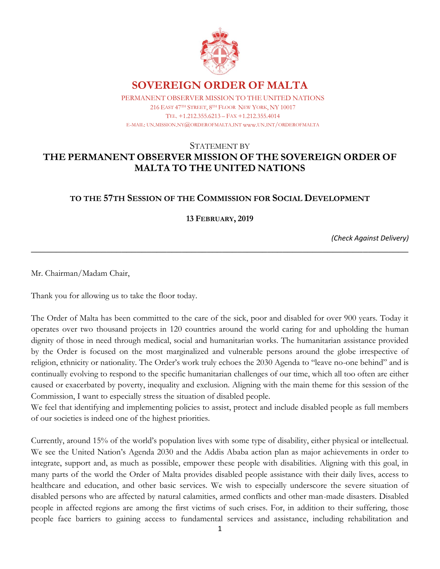

## **SOVEREIGN ORDER OF MALTA**

PERMANENT OBSERVER MISSION TO THE UNITED NATIONS PERMANENT OBSERVER MISSION TO THE UNITED NATIONS 216 EAST 47TH STREET, 8TH FLOOR NEW YORK, NY 10017 TEL. +1.212.655.6213 – FAX +1.212.355.4014 TEL. +1.212.355.6213 – FAX +1.212.355.4014 E-MAIL: UN.MISSION.NY@ORDEROFMALTA.INT www.UN.INT/ORDEROFMALTA

## STATEMENT BY **THE PERMANENT OBSERVER MISSION OF THE SOVEREIGN ORDER OF MALTA TO THE UNITED NATIONS**

## **TO THE 57TH SESSION OF THE COMMISSION FOR SOCIAL DEVELOPMENT**

**13 FEBRUARY, 2019**

\_\_\_\_\_\_\_\_\_\_\_\_\_\_\_\_\_\_\_\_\_\_\_\_\_\_\_\_\_\_\_\_\_\_\_\_\_\_\_\_\_\_\_\_\_\_\_\_\_\_\_\_\_\_\_\_\_\_\_\_\_\_\_\_\_\_\_\_\_\_\_\_\_\_\_

*(Check Against Delivery)*

Mr. Chairman/Madam Chair,

Thank you for allowing us to take the floor today.

The Order of Malta has been committed to the care of the sick, poor and disabled for over 900 years. Today it operates over two thousand projects in 120 countries around the world caring for and upholding the human dignity of those in need through medical, social and humanitarian works. The humanitarian assistance provided by the Order is focused on the most marginalized and vulnerable persons around the globe irrespective of religion, ethnicity or nationality. The Order's work truly echoes the 2030 Agenda to "leave no-one behind" and is continually evolving to respond to the specific humanitarian challenges of our time, which all too often are either caused or exacerbated by poverty, inequality and exclusion. Aligning with the main theme for this session of the Commission, I want to especially stress the situation of disabled people.

We feel that identifying and implementing policies to assist, protect and include disabled people as full members of our societies is indeed one of the highest priorities.

Currently, around 15% of the world's population lives with some type of disability, either physical or intellectual. We see the United Nation's Agenda 2030 and the Addis Ababa action plan as major achievements in order to integrate, support and, as much as possible, empower these people with disabilities. Aligning with this goal, in many parts of the world the Order of Malta provides disabled people assistance with their daily lives, access to healthcare and education, and other basic services. We wish to especially underscore the severe situation of disabled persons who are affected by natural calamities, armed conflicts and other man-made disasters. Disabled people in affected regions are among the first victims of such crises. For, in addition to their suffering, those people face barriers to gaining access to fundamental services and assistance, including rehabilitation and